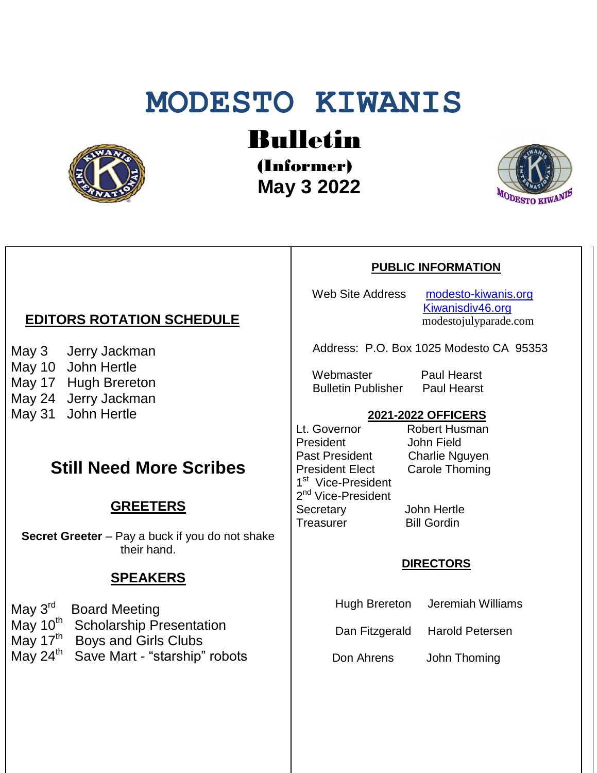# **MODESTO KIWANIS**



## Bulletin

(Informer)  **May 3 2022**



### **PUBLIC INFORMATION**

Web Site Address [modesto-kiwanis.org](http://modesto-kiwanis.org/) [Kiwanisdiv46.org](http://www.kiwanisdiv46.org/) modestojulyparade.com

Address: P.O. Box 1025 Modesto CA 95353

Webmaster Paul Hearst Bulletin Publisher Paul Hearst

#### **2021-2022 OFFICERS**

Lt. Governor Robert Husman President John Field Past President Charlie Nguyen President Elect Carole Thoming 1<sup>st</sup> Vice-President 2<sup>nd</sup> Vice-President Secretary John Hertle Treasurer Bill Gordin

#### **DIRECTORS**

Hugh Brereton Jeremiah Williams

Dan Fitzgerald Harold Petersen

Don Ahrens John Thoming

#### **EDITORS ROTATION SCHEDULE**

May 3 Jerry Jackman May 10 John Hertle May 17 Hugh Brereton May 24 Jerry Jackman

May 31 John Hertle

#### **Still Need More Scribes**

#### **GREETERS**

**Secret Greeter** – Pay a buck if you do not shake their hand.

#### **SPEAKERS**

| May 3 <sup>rd</sup> Board Meeting                  |
|----------------------------------------------------|
| May 10 <sup>th</sup> Scholarship Presentation      |
| May 17 <sup>th</sup> Boys and Girls Clubs          |
| May 24 <sup>th</sup> Save Mart - "starship" robots |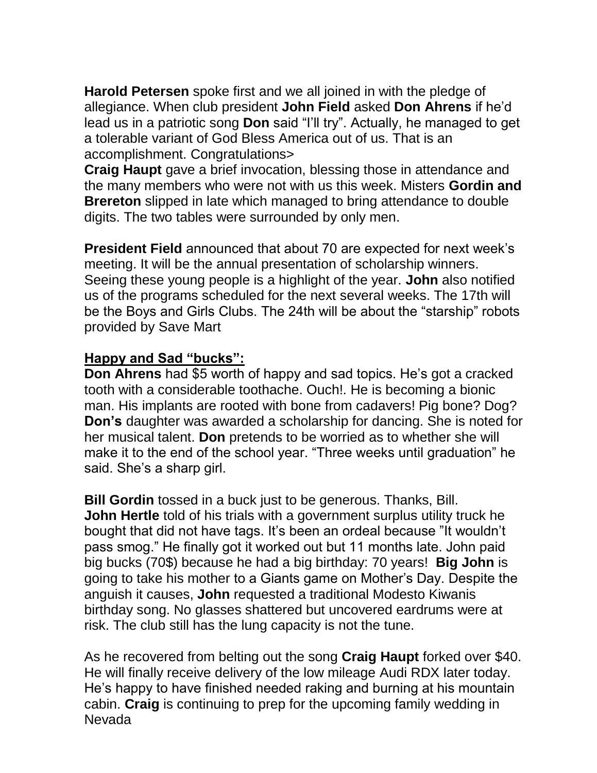**Harold Petersen** spoke first and we all joined in with the pledge of allegiance. When club president **John Field** asked **Don Ahrens** if he'd lead us in a patriotic song **Don** said "I'll try". Actually, he managed to get a tolerable variant of God Bless America out of us. That is an accomplishment. Congratulations>

**Craig Haupt** gave a brief invocation, blessing those in attendance and the many members who were not with us this week. Misters **Gordin and Brereton** slipped in late which managed to bring attendance to double digits. The two tables were surrounded by only men.

**President Field** announced that about 70 are expected for next week's meeting. It will be the annual presentation of scholarship winners. Seeing these young people is a highlight of the year. **John** also notified us of the programs scheduled for the next several weeks. The 17th will be the Boys and Girls Clubs. The 24th will be about the "starship" robots provided by Save Mart

#### **Happy and Sad "bucks":**

**Don Ahrens** had \$5 worth of happy and sad topics. He's got a cracked tooth with a considerable toothache. Ouch!. He is becoming a bionic man. His implants are rooted with bone from cadavers! Pig bone? Dog? **Don's** daughter was awarded a scholarship for dancing. She is noted for her musical talent. **Don** pretends to be worried as to whether she will make it to the end of the school year. "Three weeks until graduation" he said. She's a sharp girl.

**Bill Gordin** tossed in a buck just to be generous. Thanks, Bill. **John Hertle** told of his trials with a government surplus utility truck he bought that did not have tags. It's been an ordeal because "It wouldn't pass smog." He finally got it worked out but 11 months late. John paid big bucks (70\$) because he had a big birthday: 70 years! **Big John** is going to take his mother to a Giants game on Mother's Day. Despite the anguish it causes, **John** requested a traditional Modesto Kiwanis birthday song. No glasses shattered but uncovered eardrums were at risk. The club still has the lung capacity is not the tune.

As he recovered from belting out the song **Craig Haupt** forked over \$40. He will finally receive delivery of the low mileage Audi RDX later today. He's happy to have finished needed raking and burning at his mountain cabin. **Craig** is continuing to prep for the upcoming family wedding in Nevada